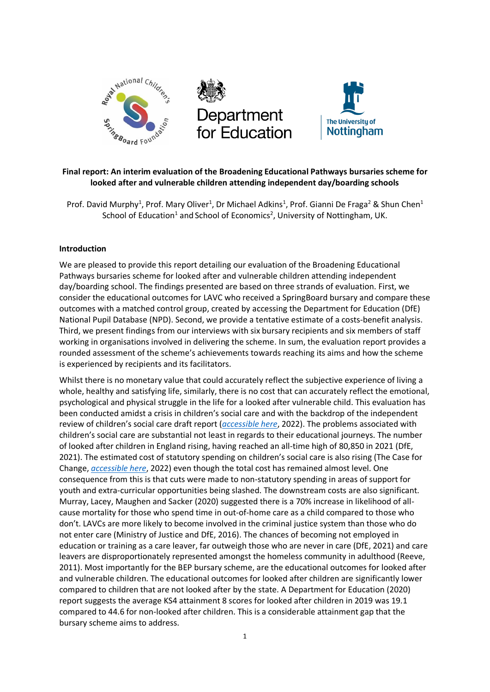

# **Final report: An interim evaluation of the Broadening Educational Pathways bursaries scheme for looked after and vulnerable children attending independent day/boarding schools**

Prof. David Murphy<sup>1</sup>, Prof. Mary Oliver<sup>1</sup>, Dr Michael Adkins<sup>1</sup>, Prof. Gianni De Fraga<sup>2</sup> & Shun Chen<sup>1</sup> School of Education<sup>1</sup> and School of Economics<sup>2</sup>, University of Nottingham, UK.

## **Introduction**

We are pleased to provide this report detailing our evaluation of the Broadening Educational Pathways bursaries scheme for looked after and vulnerable children attending independent day/boarding school. The findings presented are based on three strands of evaluation. First, we consider the educational outcomes for LAVC who received a SpringBoard bursary and compare these outcomes with a matched control group, created by accessing the Department for Education (DfE) National Pupil Database (NPD). Second, we provide a tentative estimate of a costs-benefit analysis. Third, we present findings from our interviews with six bursary recipients and six members of staff working in organisations involved in delivering the scheme. In sum, the evaluation report provides a rounded assessment of the scheme's achievements towards reaching its aims and how the scheme is experienced by recipients and its facilitators.

Whilst there is no monetary value that could accurately reflect the subjective experience of living a whole, healthy and satisfying life, similarly, there is no cost that can accurately reflect the emotional, psychological and physical struggle in the life for a looked after vulnerable child. This evaluation has been conducted amidst a crisis in children's social care and with the backdrop of the independent review of children's social care draft report (*[accessible here](https://childrenssocialcare.independent-review.uk/wp-content/uploads/2021/06/case-for-change.pdf)*, 2022). The problems associated with children's social care are substantial not least in regards to their educational journeys. The number of looked after children in England rising, having reached an all-time high of 80,850 in 2021 (DfE, 2021). The estimated cost of statutory spending on children's social care is also rising (The Case for Change, *[accessible here](https://childrenssocialcare.independent-review.uk/wp-content/uploads/2021/06/case-for-change.pdf)*, 2022) even though the total cost has remained almost level. One consequence from this is that cuts were made to non-statutory spending in areas of support for youth and extra-curricular opportunities being slashed. The downstream costs are also significant. Murray, Lacey, Maughen and Sacker (2020) suggested there is a 70% increase in likelihood of allcause mortality for those who spend time in out-of-home care as a child compared to those who don't. LAVCs are more likely to become involved in the criminal justice system than those who do not enter care (Ministry of Justice and DfE, 2016). The chances of becoming not employed in education or training as a care leaver, far outweigh those who are never in care (DfE, 2021) and care leavers are disproportionately represented amongst the homeless community in adulthood (Reeve, 2011). Most importantly for the BEP bursary scheme, are the educational outcomes for looked after and vulnerable children. The educational outcomes for looked after children are significantly lower compared to children that are not looked after by the state. A Department for Education (2020) report suggests the average KS4 attainment 8 scores for looked after children in 2019 was 19.1 compared to 44.6 for non-looked after children. This is a considerable attainment gap that the bursary scheme aims to address.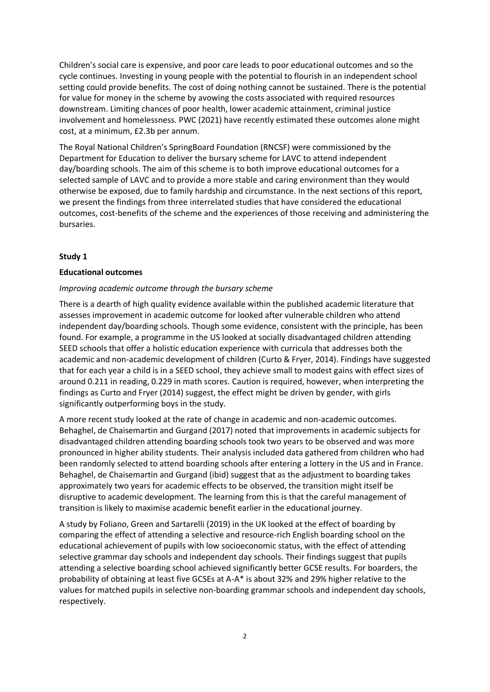Children's social care is expensive, and poor care leads to poor educational outcomes and so the cycle continues. Investing in young people with the potential to flourish in an independent school setting could provide benefits. The cost of doing nothing cannot be sustained. There is the potential for value for money in the scheme by avowing the costs associated with required resources downstream. Limiting chances of poor health, lower academic attainment, criminal justice involvement and homelessness. PWC (2021) have recently estimated these outcomes alone might cost, at a minimum, £2.3b per annum.

The Royal National Children's SpringBoard Foundation (RNCSF) were commissioned by the Department for Education to deliver the bursary scheme for LAVC to attend independent day/boarding schools. The aim of this scheme is to both improve educational outcomes for a selected sample of LAVC and to provide a more stable and caring environment than they would otherwise be exposed, due to family hardship and circumstance. In the next sections of this report, we present the findings from three interrelated studies that have considered the educational outcomes, cost-benefits of the scheme and the experiences of those receiving and administering the bursaries.

## **Study 1**

## **Educational outcomes**

## *Improving academic outcome through the bursary scheme*

There is a dearth of high quality evidence available within the published academic literature that assesses improvement in academic outcome for looked after vulnerable children who attend independent day/boarding schools. Though some evidence, consistent with the principle, has been found. For example, a programme in the US looked at socially disadvantaged children attending SEED schools that offer a holistic education experience with curricula that addresses both the academic and non-academic development of children (Curto & Fryer, 2014). Findings have suggested that for each year a child is in a SEED school, they achieve small to modest gains with effect sizes of around 0.211 in reading, 0.229 in math scores. Caution is required, however, when interpreting the findings as Curto and Fryer (2014) suggest, the effect might be driven by gender, with girls significantly outperforming boys in the study.

A more recent study looked at the rate of change in academic and non-academic outcomes. Behaghel, de Chaisemartin and Gurgand (2017) noted that improvements in academic subjects for disadvantaged children attending boarding schools took two years to be observed and was more pronounced in higher ability students. Their analysis included data gathered from children who had been randomly selected to attend boarding schools after entering a lottery in the US and in France. Behaghel, de Chaisemartin and Gurgand (ibid) suggest that as the adjustment to boarding takes approximately two years for academic effects to be observed, the transition might itself be disruptive to academic development. The learning from this is that the careful management of transition is likely to maximise academic benefit earlier in the educational journey.

A study by Foliano, Green and Sartarelli (2019) in the UK looked at the effect of boarding by comparing the effect of attending a selective and resource-rich English boarding school on the educational achievement of pupils with low socioeconomic status, with the effect of attending selective grammar day schools and independent day schools. Their findings suggest that pupils attending a selective boarding school achieved significantly better GCSE results. For boarders, the probability of obtaining at least five GCSEs at A-A\* is about 32% and 29% higher relative to the values for matched pupils in selective non-boarding grammar schools and independent day schools, respectively.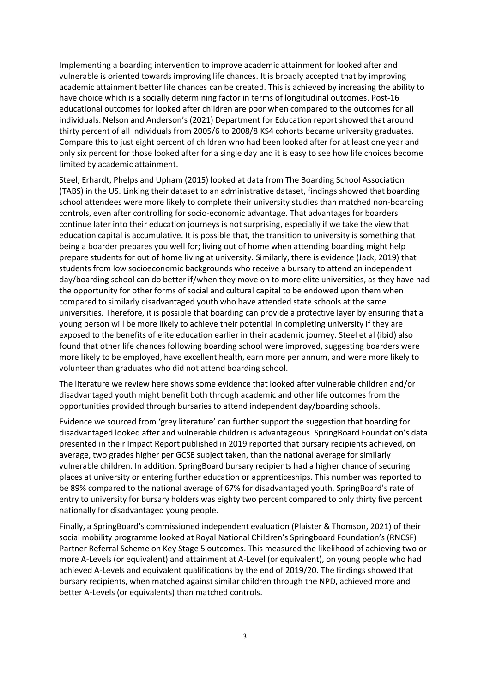Implementing a boarding intervention to improve academic attainment for looked after and vulnerable is oriented towards improving life chances. It is broadly accepted that by improving academic attainment better life chances can be created. This is achieved by increasing the ability to have choice which is a socially determining factor in terms of longitudinal outcomes. Post-16 educational outcomes for looked after children are poor when compared to the outcomes for all individuals. Nelson and Anderson's (2021) Department for Education report showed that around thirty percent of all individuals from 2005/6 to 2008/8 KS4 cohorts became university graduates. Compare this to just eight percent of children who had been looked after for at least one year and only six percent for those looked after for a single day and it is easy to see how life choices become limited by academic attainment.

Steel, Erhardt, Phelps and Upham (2015) looked at data from The Boarding School Association (TABS) in the US. Linking their dataset to an administrative dataset, findings showed that boarding school attendees were more likely to complete their university studies than matched non-boarding controls, even after controlling for socio-economic advantage. That advantages for boarders continue later into their education journeys is not surprising, especially if we take the view that education capital is accumulative. It is possible that, the transition to university is something that being a boarder prepares you well for; living out of home when attending boarding might help prepare students for out of home living at university. Similarly, there is evidence (Jack, 2019) that students from low socioeconomic backgrounds who receive a bursary to attend an independent day/boarding school can do better if/when they move on to more elite universities, as they have had the opportunity for other forms of social and cultural capital to be endowed upon them when compared to similarly disadvantaged youth who have attended state schools at the same universities. Therefore, it is possible that boarding can provide a protective layer by ensuring that a young person will be more likely to achieve their potential in completing university if they are exposed to the benefits of elite education earlier in their academic journey. Steel et al (ibid) also found that other life chances following boarding school were improved, suggesting boarders were more likely to be employed, have excellent health, earn more per annum, and were more likely to volunteer than graduates who did not attend boarding school.

The literature we review here shows some evidence that looked after vulnerable children and/or disadvantaged youth might benefit both through academic and other life outcomes from the opportunities provided through bursaries to attend independent day/boarding schools.

Evidence we sourced from 'grey literature' can further support the suggestion that boarding for disadvantaged looked after and vulnerable children is advantageous. SpringBoard Foundation's data presented in their Impact Report published in 2019 reported that bursary recipients achieved, on average, two grades higher per GCSE subject taken, than the national average for similarly vulnerable children. In addition, SpringBoard bursary recipients had a higher chance of securing places at university or entering further education or apprenticeships. This number was reported to be 89% compared to the national average of 67% for disadvantaged youth. SpringBoard's rate of entry to university for bursary holders was eighty two percent compared to only thirty five percent nationally for disadvantaged young people.

Finally, a SpringBoard's commissioned independent evaluation (Plaister & Thomson, 2021) of their social mobility programme looked at Royal National Children's Springboard Foundation's (RNCSF) Partner Referral Scheme on Key Stage 5 outcomes. This measured the likelihood of achieving two or more A-Levels (or equivalent) and attainment at A-Level (or equivalent), on young people who had achieved A-Levels and equivalent qualifications by the end of 2019/20. The findings showed that bursary recipients, when matched against similar children through the NPD, achieved more and better A-Levels (or equivalents) than matched controls.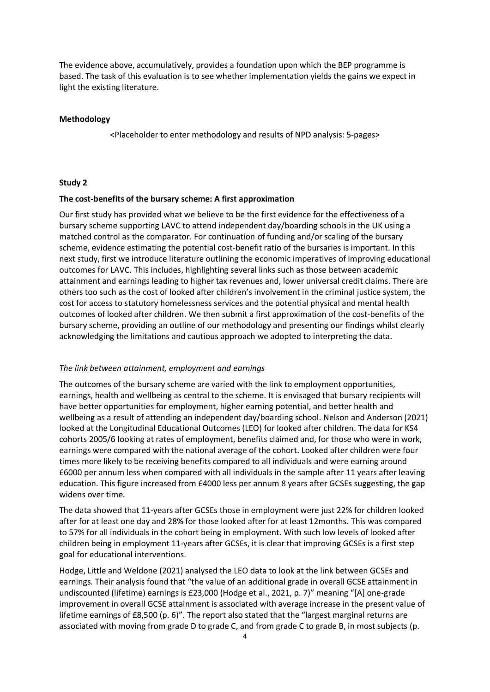The evidence above, accumulatively, provides a foundation upon which the BEP programme is based. The task of this evaluation is to see whether implementation yields the gains we expect in light the existing literature.

### **Methodology**

<Placeholder to enter methodology and results of NPD analysis: 5-pages>

### **Study 2**

#### **The cost-benefits of the bursary scheme: A first approximation**

Our first study has provided what we believe to be the first evidence for the effectiveness of a bursary scheme supporting LAVC to attend independent day/boarding schools in the UK using a matched control as the comparator. For continuation of funding and/or scaling of the bursary scheme, evidence estimating the potential cost-benefit ratio of the bursaries is important. In this next study, first we introduce literature outlining the economic imperatives of improving educational outcomes for LAVC. This includes, highlighting several links such as those between academic attainment and earnings leading to higher tax revenues and, lower universal credit claims. There are others too such as the cost of looked after children's involvement in the criminal justice system, the cost for access to statutory homelessness services and the potential physical and mental health outcomes of looked after children. We then submit a first approximation of the cost-benefits of the bursary scheme, providing an outline of our methodology and presenting our findings whilst clearly acknowledging the limitations and cautious approach we adopted to interpreting the data.

#### *The link between attainment, employment and earnings*

The outcomes of the bursary scheme are varied with the link to employment opportunities, earnings, health and wellbeing as central to the scheme. It is envisaged that bursary recipients will have better opportunities for employment, higher earning potential, and better health and wellbeing as a result of attending an independent day/boarding school. Nelson and Anderson (2021) looked at the Longitudinal Educational Outcomes (LEO) for looked after children. The data for KS4 cohorts 2005/6 looking at rates of employment, benefits claimed and, for those who were in work, earnings were compared with the national average of the cohort. Looked after children were four times more likely to be receiving benefits compared to all individuals and were earning around £6000 per annum less when compared with all individuals in the sample after 11 years after leaving education. This figure increased from £4000 less per annum 8 years after GCSEs suggesting, the gap widens over time.

The data showed that 11-years after GCSEs those in employment were just 22% for children looked after for at least one day and 28% for those looked after for at least 12months. This was compared to 57% for all individuals in the cohort being in employment. With such low levels of looked after children being in employment 11-years after GCSEs, it is clear that improving GCSEs is a first step goal for educational interventions.

Hodge, Little and Weldone (2021) analysed the LEO data to look at the link between GCSEs and earnings. Their analysis found that "the value of an additional grade in overall GCSE attainment in undiscounted (lifetime) earnings is £23,000 (Hodge et al., 2021, p. 7)" meaning "[A] one-grade improvement in overall GCSE attainment is associated with average increase in the present value of lifetime earnings of £8,500 (p. 6)". The report also stated that the "largest marginal returns are associated with moving from grade D to grade C, and from grade C to grade B, in most subjects (p.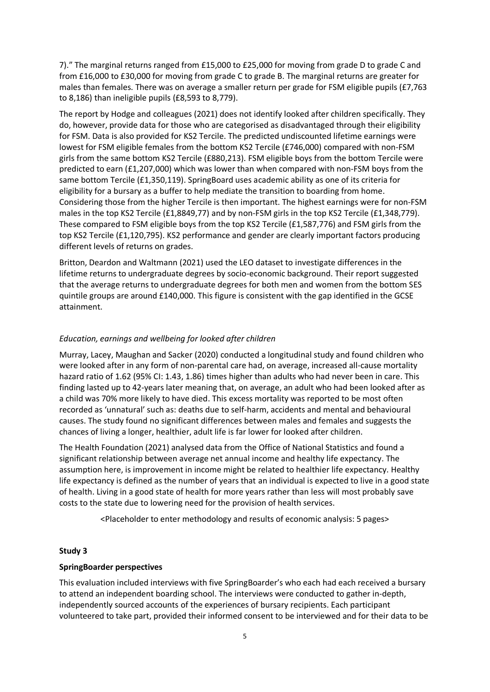7)." The marginal returns ranged from £15,000 to £25,000 for moving from grade D to grade C and from £16,000 to £30,000 for moving from grade C to grade B. The marginal returns are greater for males than females. There was on average a smaller return per grade for FSM eligible pupils (£7,763 to 8,186) than ineligible pupils (£8,593 to 8,779).

The report by Hodge and colleagues (2021) does not identify looked after children specifically. They do, however, provide data for those who are categorised as disadvantaged through their eligibility for FSM. Data is also provided for KS2 Tercile. The predicted undiscounted lifetime earnings were lowest for FSM eligible females from the bottom KS2 Tercile (£746,000) compared with non-FSM girls from the same bottom KS2 Tercile (£880,213). FSM eligible boys from the bottom Tercile were predicted to earn (£1,207,000) which was lower than when compared with non-FSM boys from the same bottom Tercile (£1,350,119). SpringBoard uses academic ability as one of its criteria for eligibility for a bursary as a buffer to help mediate the transition to boarding from home. Considering those from the higher Tercile is then important. The highest earnings were for non-FSM males in the top KS2 Tercile (£1,8849,77) and by non-FSM girls in the top KS2 Tercile (£1,348,779). These compared to FSM eligible boys from the top KS2 Tercile (£1,587,776) and FSM girls from the top KS2 Tercile (£1,120,795). KS2 performance and gender are clearly important factors producing different levels of returns on grades.

Britton, Deardon and Waltmann (2021) used the LEO dataset to investigate differences in the lifetime returns to undergraduate degrees by socio-economic background. Their report suggested that the average returns to undergraduate degrees for both men and women from the bottom SES quintile groups are around £140,000. This figure is consistent with the gap identified in the GCSE attainment.

## *Education, earnings and wellbeing for looked after children*

Murray, Lacey, Maughan and Sacker (2020) conducted a longitudinal study and found children who were looked after in any form of non-parental care had, on average, increased all-cause mortality hazard ratio of 1.62 (95% CI: 1.43, 1.86) times higher than adults who had never been in care. This finding lasted up to 42-years later meaning that, on average, an adult who had been looked after as a child was 70% more likely to have died. This excess mortality was reported to be most often recorded as 'unnatural' such as: deaths due to self-harm, accidents and mental and behavioural causes. The study found no significant differences between males and females and suggests the chances of living a longer, healthier, adult life is far lower for looked after children.

The Health Foundation (2021) analysed data from the Office of National Statistics and found a significant relationship between average net annual income and healthy life expectancy. The assumption here, is improvement in income might be related to healthier life expectancy. Healthy life expectancy is defined as the number of years that an individual is expected to live in a good state of health. Living in a good state of health for more years rather than less will most probably save costs to the state due to lowering need for the provision of health services.

<Placeholder to enter methodology and results of economic analysis: 5 pages>

## **Study 3**

## **SpringBoarder perspectives**

This evaluation included interviews with five SpringBoarder's who each had each received a bursary to attend an independent boarding school. The interviews were conducted to gather in-depth, independently sourced accounts of the experiences of bursary recipients. Each participant volunteered to take part, provided their informed consent to be interviewed and for their data to be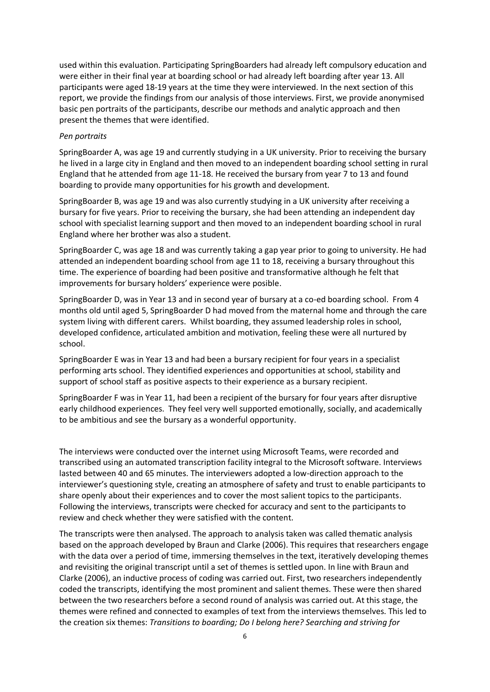used within this evaluation. Participating SpringBoarders had already left compulsory education and were either in their final year at boarding school or had already left boarding after year 13. All participants were aged 18-19 years at the time they were interviewed. In the next section of this report, we provide the findings from our analysis of those interviews. First, we provide anonymised basic pen portraits of the participants, describe our methods and analytic approach and then present the themes that were identified.

### *Pen portraits*

SpringBoarder A, was age 19 and currently studying in a UK university. Prior to receiving the bursary he lived in a large city in England and then moved to an independent boarding school setting in rural England that he attended from age 11-18. He received the bursary from year 7 to 13 and found boarding to provide many opportunities for his growth and development.

SpringBoarder B, was age 19 and was also currently studying in a UK university after receiving a bursary for five years. Prior to receiving the bursary, she had been attending an independent day school with specialist learning support and then moved to an independent boarding school in rural England where her brother was also a student.

SpringBoarder C, was age 18 and was currently taking a gap year prior to going to university. He had attended an independent boarding school from age 11 to 18, receiving a bursary throughout this time. The experience of boarding had been positive and transformative although he felt that improvements for bursary holders' experience were posible.

SpringBoarder D, was in Year 13 and in second year of bursary at a co-ed boarding school. From 4 months old until aged 5, SpringBoarder D had moved from the maternal home and through the care system living with different carers. Whilst boarding, they assumed leadership roles in school, developed confidence, articulated ambition and motivation, feeling these were all nurtured by school.

SpringBoarder E was in Year 13 and had been a bursary recipient for four years in a specialist performing arts school. They identified experiences and opportunities at school, stability and support of school staff as positive aspects to their experience as a bursary recipient.

SpringBoarder F was in Year 11, had been a recipient of the bursary for four years after disruptive early childhood experiences. They feel very well supported emotionally, socially, and academically to be ambitious and see the bursary as a wonderful opportunity.

The interviews were conducted over the internet using Microsoft Teams, were recorded and transcribed using an automated transcription facility integral to the Microsoft software. Interviews lasted between 40 and 65 minutes. The interviewers adopted a low-direction approach to the interviewer's questioning style, creating an atmosphere of safety and trust to enable participants to share openly about their experiences and to cover the most salient topics to the participants. Following the interviews, transcripts were checked for accuracy and sent to the participants to review and check whether they were satisfied with the content.

The transcripts were then analysed. The approach to analysis taken was called thematic analysis based on the approach developed by Braun and Clarke (2006). This requires that researchers engage with the data over a period of time, immersing themselves in the text, iteratively developing themes and revisiting the original transcript until a set of themes is settled upon. In line with Braun and Clarke (2006), an inductive process of coding was carried out. First, two researchers independently coded the transcripts, identifying the most prominent and salient themes. These were then shared between the two researchers before a second round of analysis was carried out. At this stage, the themes were refined and connected to examples of text from the interviews themselves. This led to the creation six themes: *Transitions to boarding; Do I belong here? Searching and striving for*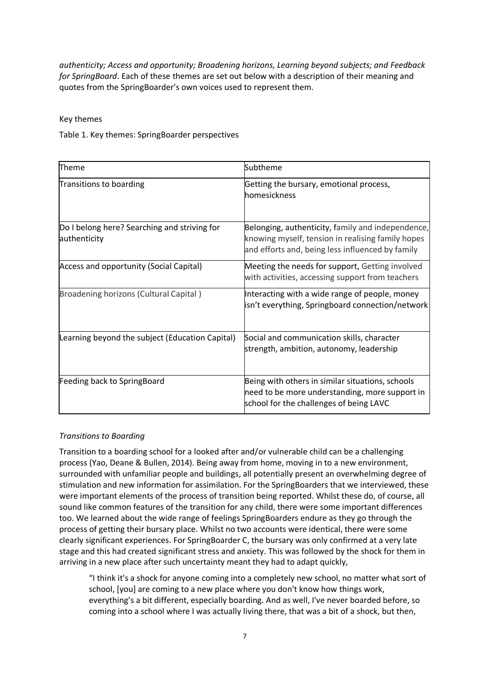*authenticity; Access and opportunity; Broadening horizons, Learning beyond subjects; and Feedback for SpringBoard*. Each of these themes are set out below with a description of their meaning and quotes from the SpringBoarder's own voices used to represent them.

Key themes

Table 1. Key themes: SpringBoarder perspectives

| Theme                                                        | Subtheme                                                                                                                                                   |
|--------------------------------------------------------------|------------------------------------------------------------------------------------------------------------------------------------------------------------|
| Transitions to boarding                                      | Getting the bursary, emotional process,<br>homesickness                                                                                                    |
| Do I belong here? Searching and striving for<br>authenticity | Belonging, authenticity, family and independence,<br>knowing myself, tension in realising family hopes<br>and efforts and, being less influenced by family |
| <b>Access and opportunity (Social Capital)</b>               | Meeting the needs for support, Getting involved<br>with activities, accessing support from teachers                                                        |
| Broadening horizons (Cultural Capital)                       | Interacting with a wide range of people, money<br>isn't everything, Springboard connection/network                                                         |
| Learning beyond the subject (Education Capital)              | Social and communication skills, character<br>strength, ambition, autonomy, leadership                                                                     |
| Feeding back to SpringBoard                                  | Being with others in similar situations, schools<br>need to be more understanding, more support in<br>school for the challenges of being LAVC              |

# *Transitions to Boarding*

Transition to a boarding school for a looked after and/or vulnerable child can be a challenging process (Yao, Deane & Bullen, 2014). Being away from home, moving in to a new environment, surrounded with unfamiliar people and buildings, all potentially present an overwhelming degree of stimulation and new information for assimilation. For the SpringBoarders that we interviewed, these were important elements of the process of transition being reported. Whilst these do, of course, all sound like common features of the transition for any child, there were some important differences too. We learned about the wide range of feelings SpringBoarders endure as they go through the process of getting their bursary place. Whilst no two accounts were identical, there were some clearly significant experiences. For SpringBoarder C, the bursary was only confirmed at a very late stage and this had created significant stress and anxiety. This was followed by the shock for them in arriving in a new place after such uncertainty meant they had to adapt quickly,

"I think it's a shock for anyone coming into a completely new school, no matter what sort of school, [you] are coming to a new place where you don't know how things work, everything's a bit different, especially boarding. And as well, I've never boarded before, so coming into a school where I was actually living there, that was a bit of a shock, but then,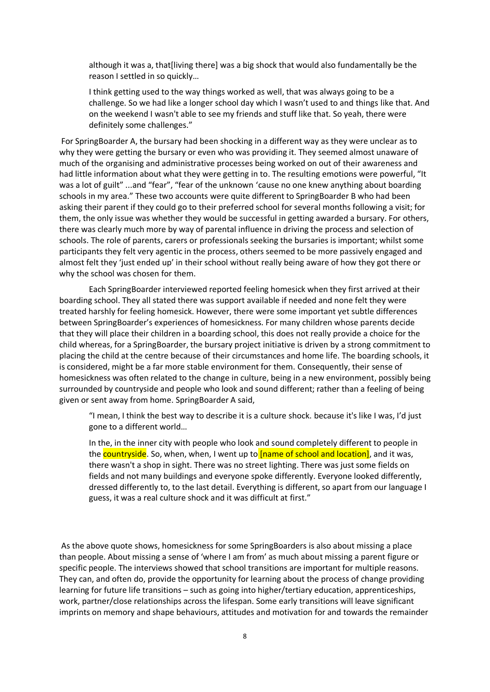although it was a, that[living there] was a big shock that would also fundamentally be the reason I settled in so quickly…

I think getting used to the way things worked as well, that was always going to be a challenge. So we had like a longer school day which I wasn't used to and things like that. And on the weekend I wasn't able to see my friends and stuff like that. So yeah, there were definitely some challenges."

For SpringBoarder A, the bursary had been shocking in a different way as they were unclear as to why they were getting the bursary or even who was providing it. They seemed almost unaware of much of the organising and administrative processes being worked on out of their awareness and had little information about what they were getting in to. The resulting emotions were powerful, "It was a lot of guilt" ...and "fear", "fear of the unknown 'cause no one knew anything about boarding schools in my area." These two accounts were quite different to SpringBoarder B who had been asking their parent if they could go to their preferred school for several months following a visit; for them, the only issue was whether they would be successful in getting awarded a bursary. For others, there was clearly much more by way of parental influence in driving the process and selection of schools. The role of parents, carers or professionals seeking the bursaries is important; whilst some participants they felt very agentic in the process, others seemed to be more passively engaged and almost felt they 'just ended up' in their school without really being aware of how they got there or why the school was chosen for them.

Each SpringBoarder interviewed reported feeling homesick when they first arrived at their boarding school. They all stated there was support available if needed and none felt they were treated harshly for feeling homesick. However, there were some important yet subtle differences between SpringBoarder's experiences of homesickness. For many children whose parents decide that they will place their children in a boarding school, this does not really provide a choice for the child whereas, for a SpringBoarder, the bursary project initiative is driven by a strong commitment to placing the child at the centre because of their circumstances and home life. The boarding schools, it is considered, might be a far more stable environment for them. Consequently, their sense of homesickness was often related to the change in culture, being in a new environment, possibly being surrounded by countryside and people who look and sound different; rather than a feeling of being given or sent away from home. SpringBoarder A said,

"I mean, I think the best way to describe it is a culture shock. because it's like I was, I'd just gone to a different world…

In the, in the inner city with people who look and sound completely different to people in the countryside. So, when, when, I went up to **[name of school and location]**, and it was, there wasn't a shop in sight. There was no street lighting. There was just some fields on fields and not many buildings and everyone spoke differently. Everyone looked differently, dressed differently to, to the last detail. Everything is different, so apart from our language I guess, it was a real culture shock and it was difficult at first."

As the above quote shows, homesickness for some SpringBoarders is also about missing a place than people. About missing a sense of 'where I am from' as much about missing a parent figure or specific people. The interviews showed that school transitions are important for multiple reasons. They can, and often do, provide the opportunity for learning about the process of change providing learning for future life transitions – such as going into higher/tertiary education, apprenticeships, work, partner/close relationships across the lifespan. Some early transitions will leave significant imprints on memory and shape behaviours, attitudes and motivation for and towards the remainder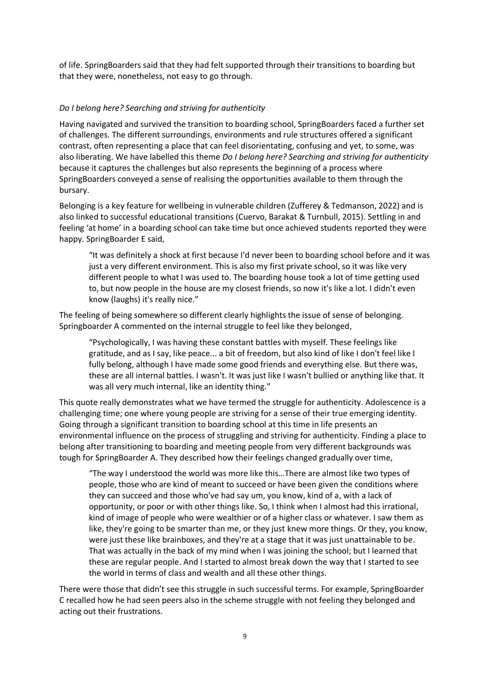of life. SpringBoarders said that they had felt supported through their transitions to boarding but that they were, nonetheless, not easy to go through.

## *Do I belong here? Searching and striving for authenticity*

Having navigated and survived the transition to boarding school, SpringBoarders faced a further set of challenges. The different surroundings, environments and rule structures offered a significant contrast, often representing a place that can feel disorientating, confusing and yet, to some, was also liberating. We have labelled this theme *Do I belong here? Searching and striving for authenticity*  because it captures the challenges but also represents the beginning of a process where SpringBoarders conveyed a sense of realising the opportunities available to them through the bursary.

Belonging is a key feature for wellbeing in vulnerable children (Zufferey & Tedmanson, 2022) and is also linked to successful educational transitions (Cuervo, Barakat & Turnbull, 2015). Settling in and feeling 'at home' in a boarding school can take time but once achieved students reported they were happy. SpringBoarder E said,

"It was definitely a shock at first because I'd never been to boarding school before and it was just a very different environment. This is also my first private school, so it was like very different people to what I was used to. The boarding house took a lot of time getting used to, but now people in the house are my closest friends, so now it's like a lot. I didn't even know (laughs) it's really nice."

The feeling of being somewhere so different clearly highlights the issue of sense of belonging. Springboarder A commented on the internal struggle to feel like they belonged,

"Psychologically, I was having these constant battles with myself. These feelings like gratitude, and as I say, like peace... a bit of freedom, but also kind of like I don't feel like I fully belong, although I have made some good friends and everything else. But there was, these are all internal battles. I wasn't. It was just like I wasn't bullied or anything like that. It was all very much internal, like an identity thing."

This quote really demonstrates what we have termed the struggle for authenticity. Adolescence is a challenging time; one where young people are striving for a sense of their true emerging identity. Going through a significant transition to boarding school at this time in life presents an environmental influence on the process of struggling and striving for authenticity. Finding a place to belong after transitioning to boarding and meeting people from very different backgrounds was tough for SpringBoarder A. They described how their feelings changed gradually over time,

"The way I understood the world was more like this…There are almost like two types of people, those who are kind of meant to succeed or have been given the conditions where they can succeed and those who've had say um, you know, kind of a, with a lack of opportunity, or poor or with other things like. So, I think when I almost had this irrational, kind of image of people who were wealthier or of a higher class or whatever. I saw them as like, they're going to be smarter than me, or they just knew more things. Or they, you know, were just these like brainboxes, and they're at a stage that it was just unattainable to be. That was actually in the back of my mind when I was joining the school; but I learned that these are regular people. And I started to almost break down the way that I started to see the world in terms of class and wealth and all these other things.

There were those that didn't see this struggle in such successful terms. For example, SpringBoarder C recalled how he had seen peers also in the scheme struggle with not feeling they belonged and acting out their frustrations.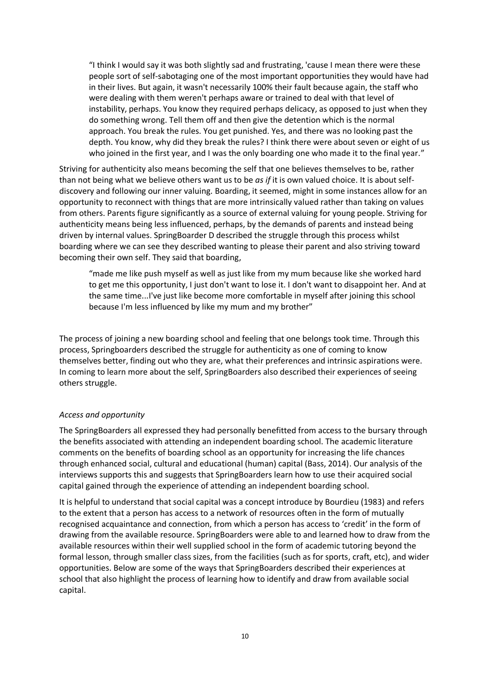"I think I would say it was both slightly sad and frustrating, 'cause I mean there were these people sort of self-sabotaging one of the most important opportunities they would have had in their lives. But again, it wasn't necessarily 100% their fault because again, the staff who were dealing with them weren't perhaps aware or trained to deal with that level of instability, perhaps. You know they required perhaps delicacy, as opposed to just when they do something wrong. Tell them off and then give the detention which is the normal approach. You break the rules. You get punished. Yes, and there was no looking past the depth. You know, why did they break the rules? I think there were about seven or eight of us who joined in the first year, and I was the only boarding one who made it to the final year."

Striving for authenticity also means becoming the self that one believes themselves to be, rather than not being what we believe others want us to be *as if* it is own valued choice. It is about selfdiscovery and following our inner valuing. Boarding, it seemed, might in some instances allow for an opportunity to reconnect with things that are more intrinsically valued rather than taking on values from others. Parents figure significantly as a source of external valuing for young people. Striving for authenticity means being less influenced, perhaps, by the demands of parents and instead being driven by internal values. SpringBoarder D described the struggle through this process whilst boarding where we can see they described wanting to please their parent and also striving toward becoming their own self. They said that boarding,

"made me like push myself as well as just like from my mum because like she worked hard to get me this opportunity, I just don't want to lose it. I don't want to disappoint her. And at the same time...I've just like become more comfortable in myself after joining this school because I'm less influenced by like my mum and my brother"

The process of joining a new boarding school and feeling that one belongs took time. Through this process, Springboarders described the struggle for authenticity as one of coming to know themselves better, finding out who they are, what their preferences and intrinsic aspirations were. In coming to learn more about the self, SpringBoarders also described their experiences of seeing others struggle.

## *Access and opportunity*

The SpringBoarders all expressed they had personally benefitted from access to the bursary through the benefits associated with attending an independent boarding school. The academic literature comments on the benefits of boarding school as an opportunity for increasing the life chances through enhanced social, cultural and educational (human) capital (Bass, 2014). Our analysis of the interviews supports this and suggests that SpringBoarders learn how to use their acquired social capital gained through the experience of attending an independent boarding school.

It is helpful to understand that social capital was a concept introduce by Bourdieu (1983) and refers to the extent that a person has access to a network of resources often in the form of mutually recognised acquaintance and connection, from which a person has access to 'credit' in the form of drawing from the available resource. SpringBoarders were able to and learned how to draw from the available resources within their well supplied school in the form of academic tutoring beyond the formal lesson, through smaller class sizes, from the facilities (such as for sports, craft, etc), and wider opportunities. Below are some of the ways that SpringBoarders described their experiences at school that also highlight the process of learning how to identify and draw from available social capital.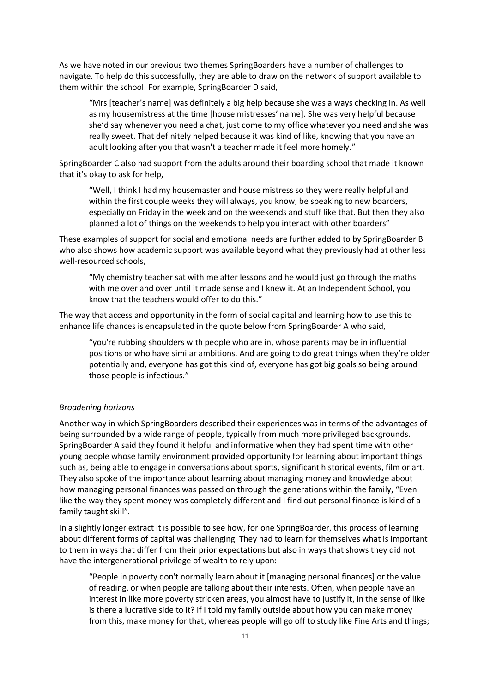As we have noted in our previous two themes SpringBoarders have a number of challenges to navigate. To help do this successfully, they are able to draw on the network of support available to them within the school. For example, SpringBoarder D said,

"Mrs [teacher's name] was definitely a big help because she was always checking in. As well as my housemistress at the time [house mistresses' name]. She was very helpful because she'd say whenever you need a chat, just come to my office whatever you need and she was really sweet. That definitely helped because it was kind of like, knowing that you have an adult looking after you that wasn't a teacher made it feel more homely."

SpringBoarder C also had support from the adults around their boarding school that made it known that it's okay to ask for help,

"Well, I think I had my housemaster and house mistress so they were really helpful and within the first couple weeks they will always, you know, be speaking to new boarders, especially on Friday in the week and on the weekends and stuff like that. But then they also planned a lot of things on the weekends to help you interact with other boarders"

These examples of support for social and emotional needs are further added to by SpringBoarder B who also shows how academic support was available beyond what they previously had at other less well-resourced schools,

"My chemistry teacher sat with me after lessons and he would just go through the maths with me over and over until it made sense and I knew it. At an Independent School, you know that the teachers would offer to do this."

The way that access and opportunity in the form of social capital and learning how to use this to enhance life chances is encapsulated in the quote below from SpringBoarder A who said,

"you're rubbing shoulders with people who are in, whose parents may be in influential positions or who have similar ambitions. And are going to do great things when they're older potentially and, everyone has got this kind of, everyone has got big goals so being around those people is infectious."

## *Broadening horizons*

Another way in which SpringBoarders described their experiences was in terms of the advantages of being surrounded by a wide range of people, typically from much more privileged backgrounds. SpringBoarder A said they found it helpful and informative when they had spent time with other young people whose family environment provided opportunity for learning about important things such as, being able to engage in conversations about sports, significant historical events, film or art. They also spoke of the importance about learning about managing money and knowledge about how managing personal finances was passed on through the generations within the family, "Even like the way they spent money was completely different and I find out personal finance is kind of a family taught skill".

In a slightly longer extract it is possible to see how, for one SpringBoarder, this process of learning about different forms of capital was challenging. They had to learn for themselves what is important to them in ways that differ from their prior expectations but also in ways that shows they did not have the intergenerational privilege of wealth to rely upon:

"People in poverty don't normally learn about it [managing personal finances] or the value of reading, or when people are talking about their interests. Often, when people have an interest in like more poverty stricken areas, you almost have to justify it, in the sense of like is there a lucrative side to it? If I told my family outside about how you can make money from this, make money for that, whereas people will go off to study like Fine Arts and things;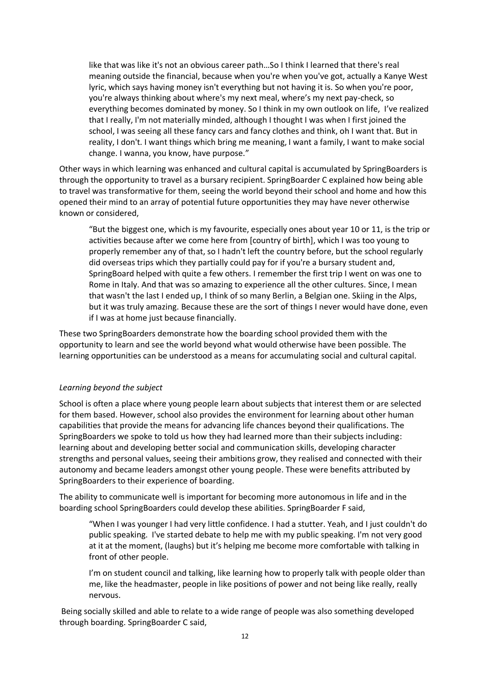like that was like it's not an obvious career path…So I think I learned that there's real meaning outside the financial, because when you're when you've got, actually a Kanye West lyric, which says having money isn't everything but not having it is. So when you're poor, you're always thinking about where's my next meal, where's my next pay-check, so everything becomes dominated by money. So I think in my own outlook on life, I've realized that I really, I'm not materially minded, although I thought I was when I first joined the school, I was seeing all these fancy cars and fancy clothes and think, oh I want that. But in reality, I don't. I want things which bring me meaning, I want a family, I want to make social change. I wanna, you know, have purpose."

Other ways in which learning was enhanced and cultural capital is accumulated by SpringBoarders is through the opportunity to travel as a bursary recipient. SpringBoarder C explained how being able to travel was transformative for them, seeing the world beyond their school and home and how this opened their mind to an array of potential future opportunities they may have never otherwise known or considered,

"But the biggest one, which is my favourite, especially ones about year 10 or 11, is the trip or activities because after we come here from [country of birth], which I was too young to properly remember any of that, so I hadn't left the country before, but the school regularly did overseas trips which they partially could pay for if you're a bursary student and, SpringBoard helped with quite a few others. I remember the first trip I went on was one to Rome in Italy. And that was so amazing to experience all the other cultures. Since, I mean that wasn't the last I ended up, I think of so many Berlin, a Belgian one. Skiing in the Alps, but it was truly amazing. Because these are the sort of things I never would have done, even if I was at home just because financially.

These two SpringBoarders demonstrate how the boarding school provided them with the opportunity to learn and see the world beyond what would otherwise have been possible. The learning opportunities can be understood as a means for accumulating social and cultural capital.

#### *Learning beyond the subject*

School is often a place where young people learn about subjects that interest them or are selected for them based. However, school also provides the environment for learning about other human capabilities that provide the means for advancing life chances beyond their qualifications. The SpringBoarders we spoke to told us how they had learned more than their subjects including: learning about and developing better social and communication skills, developing character strengths and personal values, seeing their ambitions grow, they realised and connected with their autonomy and became leaders amongst other young people. These were benefits attributed by SpringBoarders to their experience of boarding.

The ability to communicate well is important for becoming more autonomous in life and in the boarding school SpringBoarders could develop these abilities. SpringBoarder F said,

"When I was younger I had very little confidence. I had a stutter. Yeah, and I just couldn't do public speaking.  I've started debate to help me with my public speaking. I'm not very good at it at the moment, (laughs) but it's helping me become more comfortable with talking in front of other people.

I'm on student council and talking, like learning how to properly talk with people older than me, like the headmaster, people in like positions of power and not being like really, really nervous.

Being socially skilled and able to relate to a wide range of people was also something developed through boarding. SpringBoarder C said,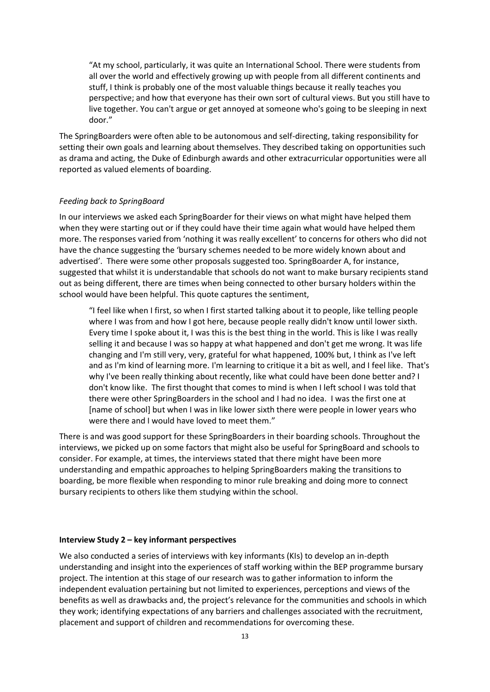"At my school, particularly, it was quite an International School. There were students from all over the world and effectively growing up with people from all different continents and stuff, I think is probably one of the most valuable things because it really teaches you perspective; and how that everyone has their own sort of cultural views. But you still have to live together. You can't argue or get annoyed at someone who's going to be sleeping in next door."

The SpringBoarders were often able to be autonomous and self-directing, taking responsibility for setting their own goals and learning about themselves. They described taking on opportunities such as drama and acting, the Duke of Edinburgh awards and other extracurricular opportunities were all reported as valued elements of boarding.

## *Feeding back to SpringBoard*

In our interviews we asked each SpringBoarder for their views on what might have helped them when they were starting out or if they could have their time again what would have helped them more. The responses varied from 'nothing it was really excellent' to concerns for others who did not have the chance suggesting the 'bursary schemes needed to be more widely known about and advertised'. There were some other proposals suggested too. SpringBoarder A, for instance, suggested that whilst it is understandable that schools do not want to make bursary recipients stand out as being different, there are times when being connected to other bursary holders within the school would have been helpful. This quote captures the sentiment,

"I feel like when I first, so when I first started talking about it to people, like telling people where I was from and how I got here, because people really didn't know until lower sixth. Every time I spoke about it, I was this is the best thing in the world. This is like I was really selling it and because I was so happy at what happened and don't get me wrong. It was life changing and I'm still very, very, grateful for what happened, 100% but, I think as I've left and as I'm kind of learning more. I'm learning to critique it a bit as well, and I feel like. That's why I've been really thinking about recently, like what could have been done better and? I don't know like. The first thought that comes to mind is when I left school I was told that there were other SpringBoarders in the school and I had no idea. I was the first one at [name of school] but when I was in like lower sixth there were people in lower years who were there and I would have loved to meet them."

There is and was good support for these SpringBoarders in their boarding schools. Throughout the interviews, we picked up on some factors that might also be useful for SpringBoard and schools to consider. For example, at times, the interviews stated that there might have been more understanding and empathic approaches to helping SpringBoarders making the transitions to boarding, be more flexible when responding to minor rule breaking and doing more to connect bursary recipients to others like them studying within the school.

#### **Interview Study 2 – key informant perspectives**

We also conducted a series of interviews with key informants (KIs) to develop an in-depth understanding and insight into the experiences of staff working within the BEP programme bursary project. The intention at this stage of our research was to gather information to inform the independent evaluation pertaining but not limited to experiences, perceptions and views of the benefits as well as drawbacks and, the project's relevance for the communities and schools in which they work; identifying expectations of any barriers and challenges associated with the recruitment, placement and support of children and recommendations for overcoming these.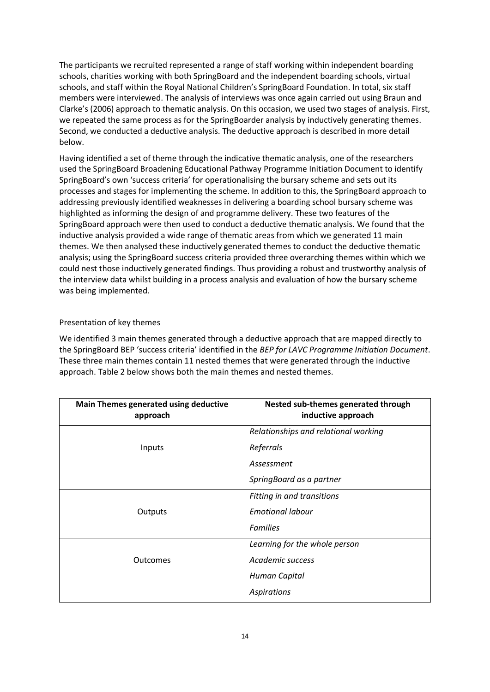The participants we recruited represented a range of staff working within independent boarding schools, charities working with both SpringBoard and the independent boarding schools, virtual schools, and staff within the Royal National Children's SpringBoard Foundation. In total, six staff members were interviewed. The analysis of interviews was once again carried out using Braun and Clarke's (2006) approach to thematic analysis. On this occasion, we used two stages of analysis. First, we repeated the same process as for the SpringBoarder analysis by inductively generating themes. Second, we conducted a deductive analysis. The deductive approach is described in more detail below.

Having identified a set of theme through the indicative thematic analysis, one of the researchers used the SpringBoard Broadening Educational Pathway Programme Initiation Document to identify SpringBoard's own 'success criteria' for operationalising the bursary scheme and sets out its processes and stages for implementing the scheme. In addition to this, the SpringBoard approach to addressing previously identified weaknesses in delivering a boarding school bursary scheme was highlighted as informing the design of and programme delivery. These two features of the SpringBoard approach were then used to conduct a deductive thematic analysis. We found that the inductive analysis provided a wide range of thematic areas from which we generated 11 main themes. We then analysed these inductively generated themes to conduct the deductive thematic analysis; using the SpringBoard success criteria provided three overarching themes within which we could nest those inductively generated findings. Thus providing a robust and trustworthy analysis of the interview data whilst building in a process analysis and evaluation of how the bursary scheme was being implemented.

# Presentation of key themes

We identified 3 main themes generated through a deductive approach that are mapped directly to the SpringBoard BEP 'success criteria' identified in the *BEP for LAVC Programme Initiation Document*. These three main themes contain 11 nested themes that were generated through the inductive approach. Table 2 below shows both the main themes and nested themes.

| Main Themes generated using deductive<br>approach | Nested sub-themes generated through<br>inductive approach |
|---------------------------------------------------|-----------------------------------------------------------|
|                                                   | Relationships and relational working                      |
| Inputs                                            | Referrals                                                 |
|                                                   | Assessment                                                |
|                                                   | SpringBoard as a partner                                  |
|                                                   | Fitting in and transitions                                |
| Outputs                                           | <b>Emotional labour</b>                                   |
|                                                   | <b>Families</b>                                           |
|                                                   | Learning for the whole person                             |
| Outcomes                                          | Academic success                                          |
|                                                   | Human Capital                                             |
|                                                   | <b>Aspirations</b>                                        |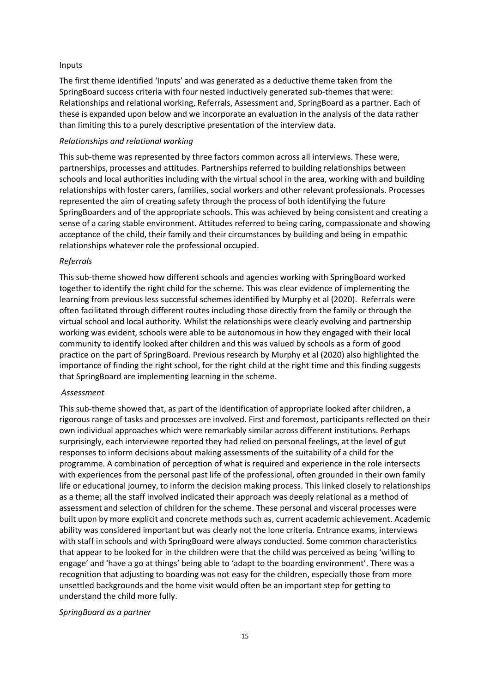### Inputs

The first theme identified 'Inputs' and was generated as a deductive theme taken from the SpringBoard success criteria with four nested inductively generated sub-themes that were: Relationships and relational working, Referrals, Assessment and, SpringBoard as a partner. Each of these is expanded upon below and we incorporate an evaluation in the analysis of the data rather than limiting this to a purely descriptive presentation of the interview data.

### *Relationships and relational working*

This sub-theme was represented by three factors common across all interviews. These were, partnerships, processes and attitudes. Partnerships referred to building relationships between schools and local authorities including with the virtual school in the area, working with and building relationships with foster carers, families, social workers and other relevant professionals. Processes represented the aim of creating safety through the process of both identifying the future SpringBoarders and of the appropriate schools. This was achieved by being consistent and creating a sense of a caring stable environment. Attitudes referred to being caring, compassionate and showing acceptance of the child, their family and their circumstances by building and being in empathic relationships whatever role the professional occupied.

#### *Referrals*

This sub-theme showed how different schools and agencies working with SpringBoard worked together to identify the right child for the scheme. This was clear evidence of implementing the learning from previous less successful schemes identified by Murphy et al (2020). Referrals were often facilitated through different routes including those directly from the family or through the virtual school and local authority. Whilst the relationships were clearly evolving and partnership working was evident, schools were able to be autonomous in how they engaged with their local community to identify looked after children and this was valued by schools as a form of good practice on the part of SpringBoard. Previous research by Murphy et al (2020) also highlighted the importance of finding the right school, for the right child at the right time and this finding suggests that SpringBoard are implementing learning in the scheme.

### *Assessment*

This sub-theme showed that, as part of the identification of appropriate looked after children, a rigorous range of tasks and processes are involved. First and foremost, participants reflected on their own individual approaches which were remarkably similar across different institutions. Perhaps surprisingly, each interviewee reported they had relied on personal feelings, at the level of gut responses to inform decisions about making assessments of the suitability of a child for the programme. A combination of perception of what is required and experience in the role intersects with experiences from the personal past life of the professional, often grounded in their own family life or educational journey, to inform the decision making process. This linked closely to relationships as a theme; all the staff involved indicated their approach was deeply relational as a method of assessment and selection of children for the scheme. These personal and visceral processes were built upon by more explicit and concrete methods such as, current academic achievement. Academic ability was considered important but was clearly not the lone criteria. Entrance exams, interviews with staff in schools and with SpringBoard were always conducted. Some common characteristics that appear to be looked for in the children were that the child was perceived as being 'willing to engage' and 'have a go at things' being able to 'adapt to the boarding environment'. There was a recognition that adjusting to boarding was not easy for the children, especially those from more unsettled backgrounds and the home visit would often be an important step for getting to understand the child more fully.

#### *SpringBoard as a partner*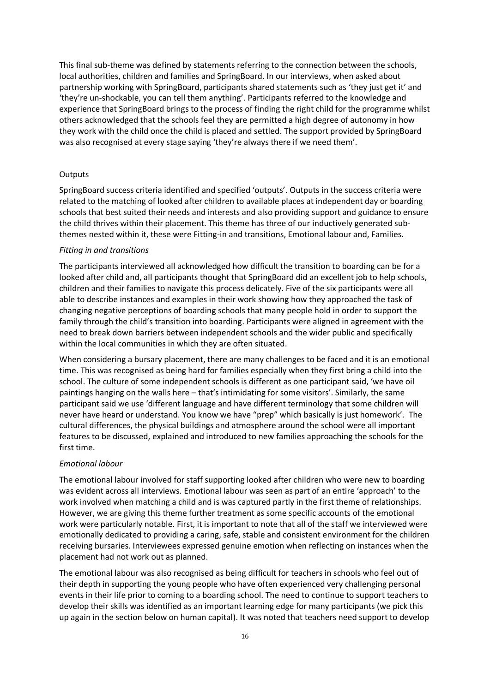This final sub-theme was defined by statements referring to the connection between the schools, local authorities, children and families and SpringBoard. In our interviews, when asked about partnership working with SpringBoard, participants shared statements such as 'they just get it' and 'they're un-shockable, you can tell them anything'. Participants referred to the knowledge and experience that SpringBoard brings to the process of finding the right child for the programme whilst others acknowledged that the schools feel they are permitted a high degree of autonomy in how they work with the child once the child is placed and settled. The support provided by SpringBoard was also recognised at every stage saying 'they're always there if we need them'.

### **Outputs**

SpringBoard success criteria identified and specified 'outputs'. Outputs in the success criteria were related to the matching of looked after children to available places at independent day or boarding schools that best suited their needs and interests and also providing support and guidance to ensure the child thrives within their placement. This theme has three of our inductively generated subthemes nested within it, these were Fitting-in and transitions, Emotional labour and, Families.

#### *Fitting in and transitions*

The participants interviewed all acknowledged how difficult the transition to boarding can be for a looked after child and, all participants thought that SpringBoard did an excellent job to help schools, children and their families to navigate this process delicately. Five of the six participants were all able to describe instances and examples in their work showing how they approached the task of changing negative perceptions of boarding schools that many people hold in order to support the family through the child's transition into boarding. Participants were aligned in agreement with the need to break down barriers between independent schools and the wider public and specifically within the local communities in which they are often situated.

When considering a bursary placement, there are many challenges to be faced and it is an emotional time. This was recognised as being hard for families especially when they first bring a child into the school. The culture of some independent schools is different as one participant said, 'we have oil paintings hanging on the walls here – that's intimidating for some visitors'. Similarly, the same participant said we use 'different language and have different terminology that some children will never have heard or understand. You know we have "prep" which basically is just homework'. The cultural differences, the physical buildings and atmosphere around the school were all important features to be discussed, explained and introduced to new families approaching the schools for the first time.

## *Emotional labour*

The emotional labour involved for staff supporting looked after children who were new to boarding was evident across all interviews. Emotional labour was seen as part of an entire 'approach' to the work involved when matching a child and is was captured partly in the first theme of relationships. However, we are giving this theme further treatment as some specific accounts of the emotional work were particularly notable. First, it is important to note that all of the staff we interviewed were emotionally dedicated to providing a caring, safe, stable and consistent environment for the children receiving bursaries. Interviewees expressed genuine emotion when reflecting on instances when the placement had not work out as planned.

The emotional labour was also recognised as being difficult for teachers in schools who feel out of their depth in supporting the young people who have often experienced very challenging personal events in their life prior to coming to a boarding school. The need to continue to support teachers to develop their skills was identified as an important learning edge for many participants (we pick this up again in the section below on human capital). It was noted that teachers need support to develop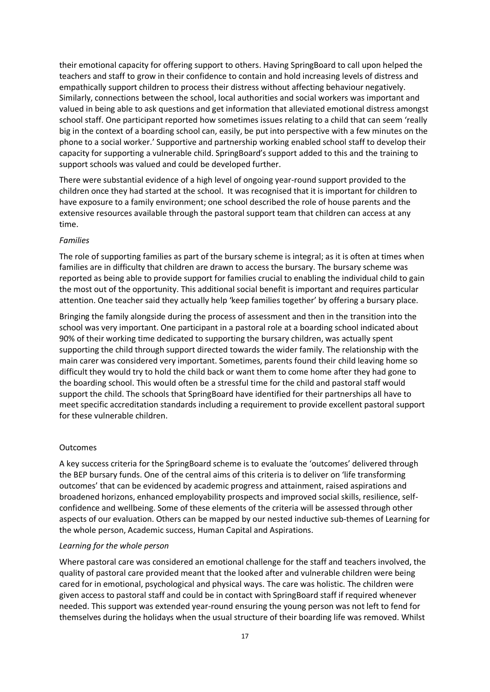their emotional capacity for offering support to others. Having SpringBoard to call upon helped the teachers and staff to grow in their confidence to contain and hold increasing levels of distress and empathically support children to process their distress without affecting behaviour negatively. Similarly, connections between the school, local authorities and social workers was important and valued in being able to ask questions and get information that alleviated emotional distress amongst school staff. One participant reported how sometimes issues relating to a child that can seem 'really big in the context of a boarding school can, easily, be put into perspective with a few minutes on the phone to a social worker.' Supportive and partnership working enabled school staff to develop their capacity for supporting a vulnerable child. SpringBoard's support added to this and the training to support schools was valued and could be developed further.

There were substantial evidence of a high level of ongoing year-round support provided to the children once they had started at the school. It was recognised that it is important for children to have exposure to a family environment; one school described the role of house parents and the extensive resources available through the pastoral support team that children can access at any time.

### *Families*

The role of supporting families as part of the bursary scheme is integral; as it is often at times when families are in difficulty that children are drawn to access the bursary. The bursary scheme was reported as being able to provide support for families crucial to enabling the individual child to gain the most out of the opportunity. This additional social benefit is important and requires particular attention. One teacher said they actually help 'keep families together' by offering a bursary place.

Bringing the family alongside during the process of assessment and then in the transition into the school was very important. One participant in a pastoral role at a boarding school indicated about 90% of their working time dedicated to supporting the bursary children, was actually spent supporting the child through support directed towards the wider family. The relationship with the main carer was considered very important. Sometimes, parents found their child leaving home so difficult they would try to hold the child back or want them to come home after they had gone to the boarding school. This would often be a stressful time for the child and pastoral staff would support the child. The schools that SpringBoard have identified for their partnerships all have to meet specific accreditation standards including a requirement to provide excellent pastoral support for these vulnerable children.

## Outcomes

A key success criteria for the SpringBoard scheme is to evaluate the 'outcomes' delivered through the BEP bursary funds. One of the central aims of this criteria is to deliver on 'life transforming outcomes' that can be evidenced by academic progress and attainment, raised aspirations and broadened horizons, enhanced employability prospects and improved social skills, resilience, selfconfidence and wellbeing. Some of these elements of the criteria will be assessed through other aspects of our evaluation. Others can be mapped by our nested inductive sub-themes of Learning for the whole person, Academic success, Human Capital and Aspirations.

#### *Learning for the whole person*

Where pastoral care was considered an emotional challenge for the staff and teachers involved, the quality of pastoral care provided meant that the looked after and vulnerable children were being cared for in emotional, psychological and physical ways. The care was holistic. The children were given access to pastoral staff and could be in contact with SpringBoard staff if required whenever needed. This support was extended year-round ensuring the young person was not left to fend for themselves during the holidays when the usual structure of their boarding life was removed. Whilst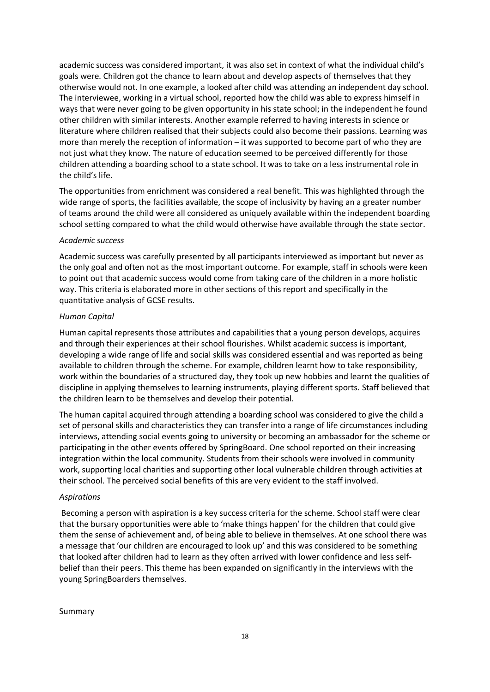academic success was considered important, it was also set in context of what the individual child's goals were. Children got the chance to learn about and develop aspects of themselves that they otherwise would not. In one example, a looked after child was attending an independent day school. The interviewee, working in a virtual school, reported how the child was able to express himself in ways that were never going to be given opportunity in his state school; in the independent he found other children with similar interests. Another example referred to having interests in science or literature where children realised that their subjects could also become their passions. Learning was more than merely the reception of information – it was supported to become part of who they are not just what they know. The nature of education seemed to be perceived differently for those children attending a boarding school to a state school. It was to take on a less instrumental role in the child's life.

The opportunities from enrichment was considered a real benefit. This was highlighted through the wide range of sports, the facilities available, the scope of inclusivity by having an a greater number of teams around the child were all considered as uniquely available within the independent boarding school setting compared to what the child would otherwise have available through the state sector.

## *Academic success*

Academic success was carefully presented by all participants interviewed as important but never as the only goal and often not as the most important outcome. For example, staff in schools were keen to point out that academic success would come from taking care of the children in a more holistic way. This criteria is elaborated more in other sections of this report and specifically in the quantitative analysis of GCSE results.

## *Human Capital*

Human capital represents those attributes and capabilities that a young person develops, acquires and through their experiences at their school flourishes. Whilst academic success is important, developing a wide range of life and social skills was considered essential and was reported as being available to children through the scheme. For example, children learnt how to take responsibility, work within the boundaries of a structured day, they took up new hobbies and learnt the qualities of discipline in applying themselves to learning instruments, playing different sports. Staff believed that the children learn to be themselves and develop their potential.

The human capital acquired through attending a boarding school was considered to give the child a set of personal skills and characteristics they can transfer into a range of life circumstances including interviews, attending social events going to university or becoming an ambassador for the scheme or participating in the other events offered by SpringBoard. One school reported on their increasing integration within the local community. Students from their schools were involved in community work, supporting local charities and supporting other local vulnerable children through activities at their school. The perceived social benefits of this are very evident to the staff involved.

## *Aspirations*

Becoming a person with aspiration is a key success criteria for the scheme. School staff were clear that the bursary opportunities were able to 'make things happen' for the children that could give them the sense of achievement and, of being able to believe in themselves. At one school there was a message that 'our children are encouraged to look up' and this was considered to be something that looked after children had to learn as they often arrived with lower confidence and less selfbelief than their peers. This theme has been expanded on significantly in the interviews with the young SpringBoarders themselves.

Summary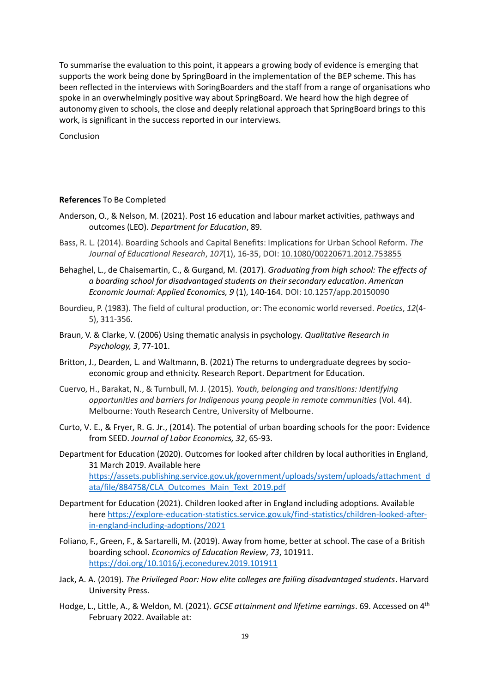To summarise the evaluation to this point, it appears a growing body of evidence is emerging that supports the work being done by SpringBoard in the implementation of the BEP scheme. This has been reflected in the interviews with SoringBoarders and the staff from a range of organisations who spoke in an overwhelmingly positive way about SpringBoard. We heard how the high degree of autonomy given to schools, the close and deeply relational approach that SpringBoard brings to this work, is significant in the success reported in our interviews.

Conclusion

### **References** To Be Completed

- Anderson, O., & Nelson, M. (2021). Post 16 education and labour market activities, pathways and outcomes (LEO). *Department for Education*, 89.
- Bass, R. L. (2014). Boarding Schools and Capital Benefits: Implications for Urban School Reform. *The Journal of Educational Research*, *107*(1), 16-35, DOI: [10.1080/00220671.2012.753855](https://doi.org/10.1080/00220671.2012.753855)
- Behaghel, L., de Chaisemartin, C., & Gurgand, M. (2017). *Graduating from high school: The effects of a boarding school for disadvantaged students on their secondary education*. *American Economic Journal: Applied Economics, 9* (1), 140-164. DOI: 10.1257/app.20150090
- Bourdieu, P. (1983). The field of cultural production, or: The economic world reversed. *Poetics*, *12*(4- 5), 311-356.
- Braun, V. & Clarke, V. (2006) Using thematic analysis in psychology. *Qualitative Research in Psychology, 3*, 77-101.
- Britton, J., Dearden, L. and Waltmann, B. (2021) The returns to undergraduate degrees by socioeconomic group and ethnicity. Research Report. Department for Education.
- Cuervo, H., Barakat, N., & Turnbull, M. J. (2015). *Youth, belonging and transitions: Identifying opportunities and barriers for Indigenous young people in remote communities* (Vol. 44). Melbourne: Youth Research Centre, University of Melbourne.
- Curto, V. E., & Fryer, R. G. Jr., (2014). The potential of urban boarding schools for the poor: Evidence from SEED. *Journal of Labor Economics, 32*, 65-93.
- Department for Education (2020). Outcomes for looked after children by local authorities in England, 31 March 2019. Available here [https://assets.publishing.service.gov.uk/government/uploads/system/uploads/attachment\\_d](https://assets.publishing.service.gov.uk/government/uploads/system/uploads/attachment_data/file/884758/CLA_Outcomes_Main_Text_2019.pdf) [ata/file/884758/CLA\\_Outcomes\\_Main\\_Text\\_2019.pdf](https://assets.publishing.service.gov.uk/government/uploads/system/uploads/attachment_data/file/884758/CLA_Outcomes_Main_Text_2019.pdf)
- Department for Education (2021). Children looked after in England including adoptions. Available here [https://explore-education-statistics.service.gov.uk/find-statistics/children-looked-after](https://explore-education-statistics.service.gov.uk/find-statistics/children-looked-after-in-england-including-adoptions/2021)[in-england-including-adoptions/2021](https://explore-education-statistics.service.gov.uk/find-statistics/children-looked-after-in-england-including-adoptions/2021)
- Foliano, F., Green, F., & Sartarelli, M. (2019). Away from home, better at school. The case of a British boarding school. *Economics of Education Review*, *73*, 101911. <https://doi.org/10.1016/j.econedurev.2019.101911>
- Jack, A. A. (2019). *The Privileged Poor: How elite colleges are failing disadvantaged students*. Harvard University Press.
- Hodge, L., Little, A., & Weldon, M. (2021). *GCSE attainment and lifetime earnings*. 69. Accessed on 4th February 2022. Available at: